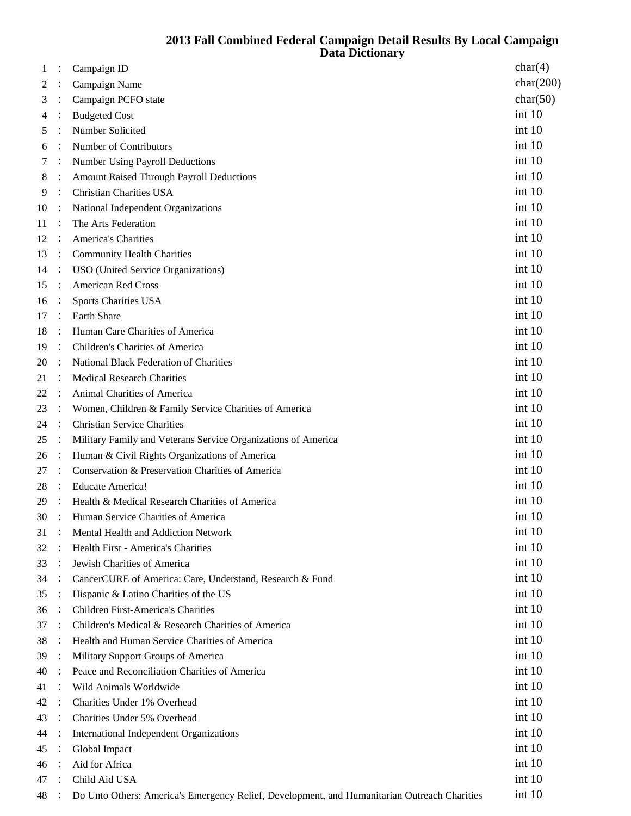## **Fall Combined Federal Campaign Detail Results By Local Campaign Data Dictionary**

| 1  |                | Campaign ID                                                                                  | char(4)   |
|----|----------------|----------------------------------------------------------------------------------------------|-----------|
| 2  |                | Campaign Name                                                                                | char(200) |
| 3  |                | Campaign PCFO state                                                                          | char(50)  |
| 4  |                | <b>Budgeted Cost</b>                                                                         | int 10    |
| 5  |                | Number Solicited                                                                             | int 10    |
| 6  |                | Number of Contributors                                                                       | int 10    |
| 7  |                | Number Using Payroll Deductions                                                              | int 10    |
| 8  |                | <b>Amount Raised Through Payroll Deductions</b>                                              | int 10    |
| 9  |                | <b>Christian Charities USA</b>                                                               | int 10    |
| 10 |                | National Independent Organizations                                                           | int 10    |
| 11 |                | The Arts Federation                                                                          | int 10    |
| 12 |                | <b>America's Charities</b>                                                                   | int 10    |
| 13 |                | <b>Community Health Charities</b>                                                            | int 10    |
| 14 | $\ddot{\cdot}$ | USO (United Service Organizations)                                                           | int 10    |
| 15 |                | <b>American Red Cross</b>                                                                    | int 10    |
| 16 |                | <b>Sports Charities USA</b>                                                                  | int 10    |
| 17 |                | <b>Earth Share</b>                                                                           | int 10    |
| 18 |                | Human Care Charities of America                                                              | int 10    |
| 19 |                | Children's Charities of America                                                              | int 10    |
| 20 |                | <b>National Black Federation of Charities</b>                                                | int 10    |
| 21 |                | <b>Medical Research Charities</b>                                                            | int 10    |
| 22 |                | Animal Charities of America                                                                  | int 10    |
| 23 |                | Women, Children & Family Service Charities of America                                        | int 10    |
| 24 |                | <b>Christian Service Charities</b>                                                           | int 10    |
| 25 |                | Military Family and Veterans Service Organizations of America                                | int 10    |
| 26 |                | Human & Civil Rights Organizations of America                                                | int 10    |
| 27 |                | Conservation & Preservation Charities of America                                             | int 10    |
| 28 |                | <b>Educate America!</b>                                                                      | int 10    |
| 29 |                | Health & Medical Research Charities of America                                               | int 10    |
| 30 |                | Human Service Charities of America                                                           | int 10    |
| 31 |                | Mental Health and Addiction Network                                                          | int 10    |
| 32 |                | Health First - America's Charities                                                           | int 10    |
| 33 |                | Jewish Charities of America                                                                  | int 10    |
| 34 |                | CancerCURE of America: Care, Understand, Research & Fund                                     | int 10    |
| 35 |                | Hispanic & Latino Charities of the US                                                        | int 10    |
| 36 |                | <b>Children First-America's Charities</b>                                                    | int 10    |
| 37 |                | Children's Medical & Research Charities of America                                           | int 10    |
| 38 |                | Health and Human Service Charities of America                                                | int 10    |
| 39 |                | Military Support Groups of America                                                           | int 10    |
| 40 |                | Peace and Reconciliation Charities of America                                                | int 10    |
| 41 |                | Wild Animals Worldwide                                                                       | int 10    |
| 42 |                | Charities Under 1% Overhead                                                                  | int 10    |
| 43 |                | Charities Under 5% Overhead                                                                  | int 10    |
| 44 |                | International Independent Organizations                                                      | int 10    |
| 45 |                | Global Impact                                                                                | int 10    |
| 46 |                | Aid for Africa                                                                               | int 10    |
| 47 |                | Child Aid USA                                                                                | int 10    |
| 48 |                | Do Unto Others: America's Emergency Relief, Development, and Humanitarian Outreach Charities | int 10    |